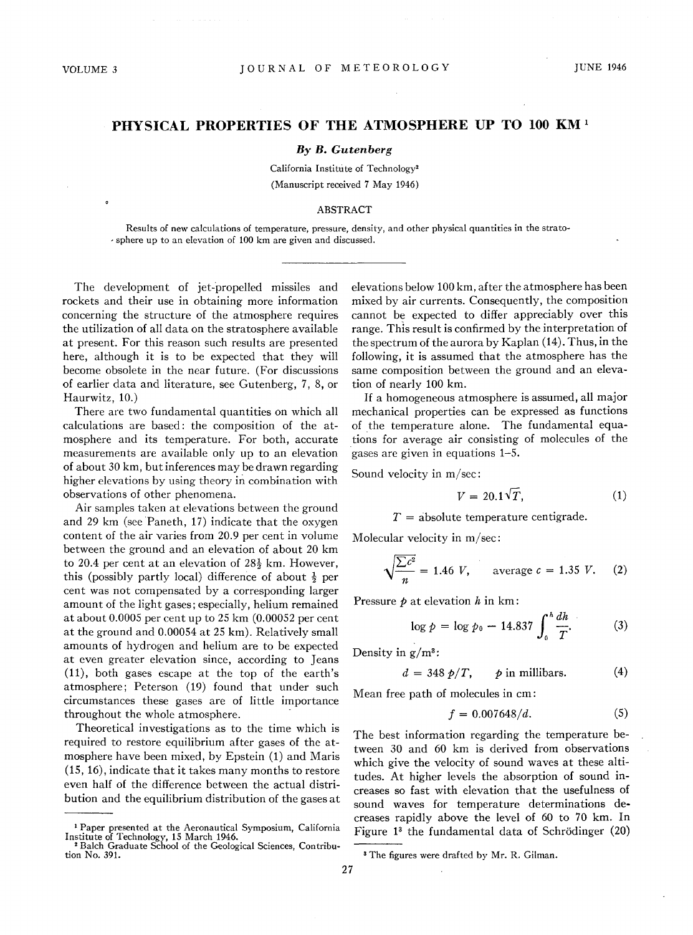## **PHYSICAL PROPERTIES OF THE ATMOSPHERE UP TO 100 KM** <sup>1</sup>

## *By B. Gutenberg*

California Institute of Technology2 (Manuscript received 7 May 1946)

## ABSTRACT

Results of new calculations of temperature, pressure, density, and other physical quantities in the strato- , sphere up to an elevation of 100 km are given and discussed.

The development of jet-propelled missiles and rockets and their use in obtaining more information concerning the structure of the atmosphere requires the utilization of all data on the stratosphere available at present. For this reason such results are presented here, although it is to be expected that they will become obsolete in the near future. (For discussions of earlier data and literature, see Gutenberg, 7, 8, or Haurwitz, 10.)

There are two fundamental quantities on which all calculations are based: the composition of the atmosphere and its temperature. For both, accurate measurements are available only up to an elevation of about 30 km, but inferences may be drawn regarding higher elevations by using theory in combination with observations of other phenomena.

Air samples taken at elevations between the ground and 29 km (see Paneth, 17) indicate that the oxygen content of the air varies from 20.9 per cent in volume between the ground and an elevation of about 20 km to 20.4 per cent at an elevation of  $28\frac{1}{2}$  km. However, this (possibly partly local) difference of about  $\frac{1}{2}$  per cent was not compensated by a corresponding larger amount of the light gases; especially, helium remained at about 0.0005 per cent up to 25 km (0.00052 per cent at the ground and 0.00054 at 25 km). Relatively small amounts of hydrogen and helium are to be expected at even greater elevation since, according to Jeans (11), both gases escape at the top of the earth's atmosphere; Peterson (19) found that under such circumstances these gases are of little importance throughout the whole atmosphere.

Theoretical investigations as to the time which is required to restore equilibrium after gases of the atmosphere have been mixed, by Epstein (1) and Maris (15, 16), indicate that it takes many months to restore even half of the difference between the actual distribution and the equilibrium distribution of the gases at elevations below 100 km, after the atmosphere has been mixed by air currents. Consequently, the composition cannot be expected to differ appreciably over this range. This result is confirmed by the interpretation of the spectrum of the aurora by Kaplan (14). Thus, in the following, it is assumed that the atmosphere has the same composition between the ground and an elevation of nearly 100 km.

If a homogeneous atmosphere is assumed, all major mechanical properties can be expressed as functions of the temperature alone. The fundamental equations for average air consisting of molecules of the gases are given in equations 1-5.

Sound velocity in m/sec:

$$
V = 20.1\sqrt{T},\tag{1}
$$

*T* = absolute temperature centigrade.

Molecular velocity in m/sec:

$$
\sqrt{\frac{\sum c^2}{n}}
$$
 = 1.46 *V*, average *c* = 1.35 *V*. (2)

Pressure *p* at elevation *h* in km:

$$
\log p = \log p_0 - 14.837 \int_0^h \frac{dh}{T}.
$$
 (3)

Density in  $g/m^3$ :

$$
d = 348 \ p/T, \qquad p \text{ in millibars.} \tag{4}
$$

Mean free path of molecules in cm:

$$
f = 0.007648/d. \tag{5}
$$

The best information regarding the temperature between 30 and 60 km is derived from observations which give the velocity of sound waves at these altitudes. At higher levels the absorption of sound increases so fast with elevation that the usefulness of sound waves for temperature determinations decreases rapidly above the level of 60 to 70 km. In Figure 1<sup>3</sup> the fundamental data of Schrödinger (20)

<sup>1</sup> Paper presented at the Aeronautical Symposium, California Institute of Technology, 15 March 1946. 2 Balch Graduate School of the Geological Sciences, Contribu-

tion No. 391.

<sup>&</sup>lt;sup>3</sup> The figures were drafted by Mr. R. Gilman.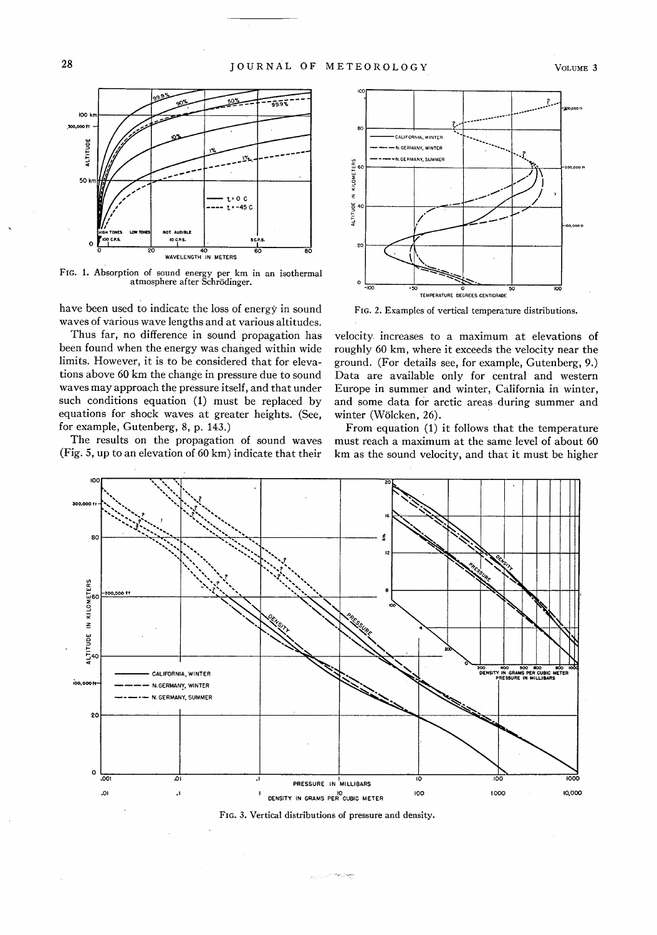

FIG. 1. Absorption of sound energy per km in an isothermal atmosphere after Schrödinger.

WAVELENGTH IN METERS

to c.e.s.

have been used to indicate the loss of energy in sound waves of various wave lengths and at various altitudes.

Thus far, no difference in sound propagation has been found when the energy was changed within wide limits. However, it is to be considered that for elevations above 60 km the change in pressure due to sound waves may approach the pressure itself, and that under such conditions equation (1) must be replaced by equations for shock waves at greater heights. (See, for example, Gutenberg, 8, p. 143.)

The results on the propagation of sound waves (Fig. 5, up to an elevation of 60 km) indicate that their



FIG. 2. Examples of vertical temperature distributions.

velocity increases to a maximum at elevations of roughly 60 km, where it exceeds the velocity near the ground. (For details see, for example, Gutenberg, 9.) Data are available only for central and western Europe in summer and winter, California in winter, and some data for arctic areas during summer and winter (Wölcken, 26).

From equation (1) it follows that the temperature must reach a maximum at the same level of about 60 km as the sound velocity, and that it must be higher





ميطل ويته فستبرز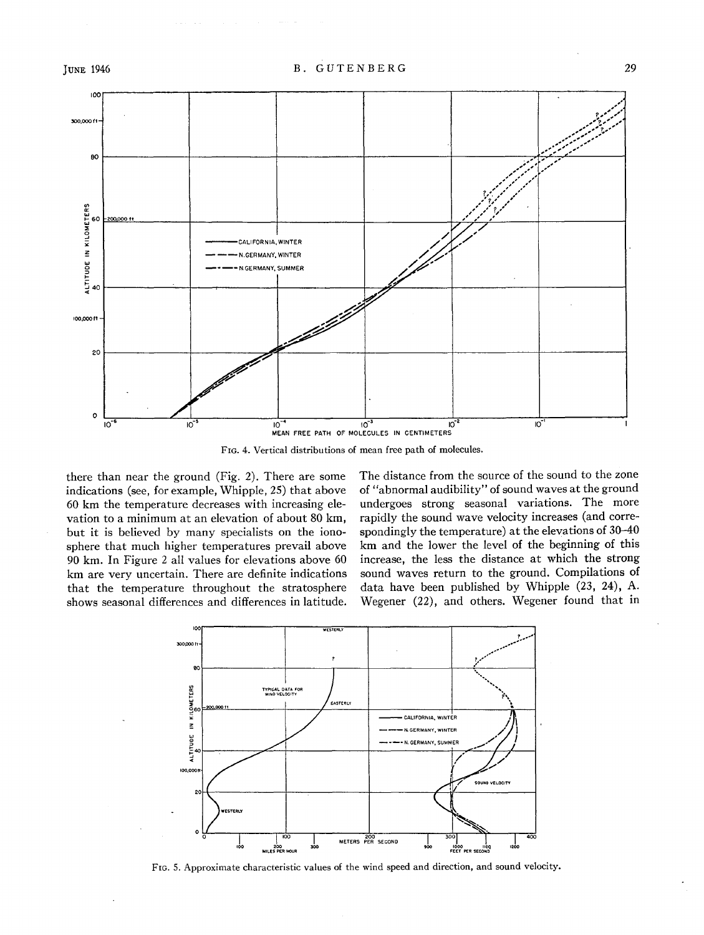

FIG. 4. Vertical distributions of mean free path of molecules.

there than near the ground (Fig. 2). There are some indications (see, for example, Whipple, 25) that above 60 km the temperature decreases with increasing elevation to a minimum at an elevation of about 80 km, but it is believed by many specialists on the ionosphere that much higher temperatures prevail above 90 km. In Figure 2 all values for elevations above 60 km are very uncertain. There are definite indications that the temperature throughout the stratosphere shows seasonal differences and differences in latitude. The distance from the source of the sound to the zone of "abnormal audibility" of sound waves at the ground undergoes strong seasonal variations. The more rapidly the sound wave velocity increases (and correspondingly the temperature) at the elevations of 30-40 km and the lower the level of the beginning of this increase, the less the distance at which the strong sound waves return to the ground. Compilations of data have been published by Whipple (23, 24), A. Wegener (22), and others. Wegener found that in



FIG. 5. Approximate characteristic values of the wind speed and direction, and sound velocity.

29